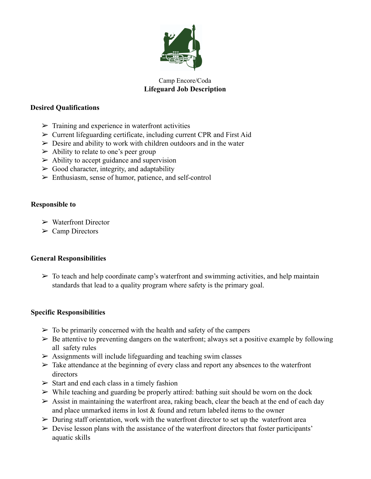

# Camp Encore/Coda **Lifeguard Job Description**

#### **Desired Qualifications**

- $\triangleright$  Training and experience in waterfront activities
- $\triangleright$  Current lifeguarding certificate, including current CPR and First Aid
- $\triangleright$  Desire and ability to work with children outdoors and in the water
- $\triangleright$  Ability to relate to one's peer group
- $\triangleright$  Ability to accept guidance and supervision
- $\triangleright$  Good character, integrity, and adaptability
- ➢ Enthusiasm, sense of humor, patience, and self-control

### **Responsible to**

- ➢ Waterfront Director
- $\triangleright$  Camp Directors

### **General Responsibilities**

 $\triangleright$  To teach and help coordinate camp's waterfront and swimming activities, and help maintain standards that lead to a quality program where safety is the primary goal.

### **Specific Responsibilities**

- $\geq$  To be primarily concerned with the health and safety of the campers
- $\triangleright$  Be attentive to preventing dangers on the waterfront; always set a positive example by following all safety rules
- $\geq$  Assignments will include lifeguarding and teaching swim classes
- $\triangleright$  Take attendance at the beginning of every class and report any absences to the waterfront directors
- $\triangleright$  Start and end each class in a timely fashion
- $\triangleright$  While teaching and guarding be properly attired: bathing suit should be worn on the dock
- $\triangleright$  Assist in maintaining the waterfront area, raking beach, clear the beach at the end of each day and place unmarked items in lost  $&$  found and return labeled items to the owner
- $\triangleright$  During staff orientation, work with the waterfront director to set up the waterfront area
- $\triangleright$  Devise lesson plans with the assistance of the waterfront directors that foster participants' aquatic skills